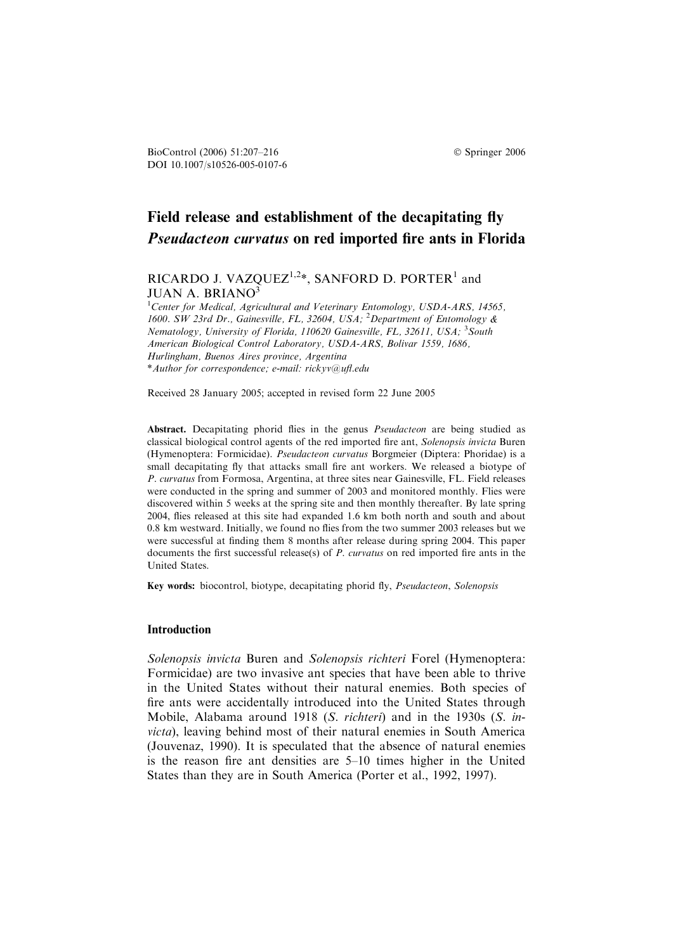# Field release and establishment of the decapitating fly Pseudacteon curvatus on red imported fire ants in Florida

RICARDO J. VAZQUEZ<sup>1,2\*</sup>, SANFORD D. PORTER<sup>1</sup> and JUAN A. BRIANO3

<sup>1</sup>Center for Medical, Agricultural and Veterinary Entomology, USDA-ARS, 14565, 1600. SW 23rd Dr., Gainesville, FL, 32604, USA; <sup>2</sup>Department of Entomology & Nematology, University of Florida, 110620 Gainesville, FL, 32611, USA; <sup>3</sup>South American Biological Control Laboratory, USDA-ARS, Bolivar 1559, 1686, Hurlingham, Buenos Aires province, Argentina \*Author for correspondence; e-mail: rickyv@ufl.edu

Received 28 January 2005; accepted in revised form 22 June 2005

Abstract. Decapitating phorid flies in the genus Pseudacteon are being studied as classical biological control agents of the red imported fire ant, Solenopsis invicta Buren (Hymenoptera: Formicidae). Pseudacteon curvatus Borgmeier (Diptera: Phoridae) is a small decapitating fly that attacks small fire ant workers. We released a biotype of P. curvatus from Formosa, Argentina, at three sites near Gainesville, FL. Field releases were conducted in the spring and summer of 2003 and monitored monthly. Flies were discovered within 5 weeks at the spring site and then monthly thereafter. By late spring 2004, flies released at this site had expanded 1.6 km both north and south and about 0.8 km westward. Initially, we found no flies from the two summer 2003 releases but we were successful at finding them 8 months after release during spring 2004. This paper documents the first successful release(s) of P. curvatus on red imported fire ants in the United States.

Key words: biocontrol, biotype, decapitating phorid fly, Pseudacteon, Solenopsis

#### Introduction

Solenopsis invicta Buren and Solenopsis richteri Forel (Hymenoptera: Formicidae) are two invasive ant species that have been able to thrive in the United States without their natural enemies. Both species of fire ants were accidentally introduced into the United States through Mobile, Alabama around 1918 (S. richteri) and in the 1930s (S. invicta), leaving behind most of their natural enemies in South America (Jouvenaz, 1990). It is speculated that the absence of natural enemies is the reason fire ant densities are 5–10 times higher in the United States than they are in South America (Porter et al., 1992, 1997).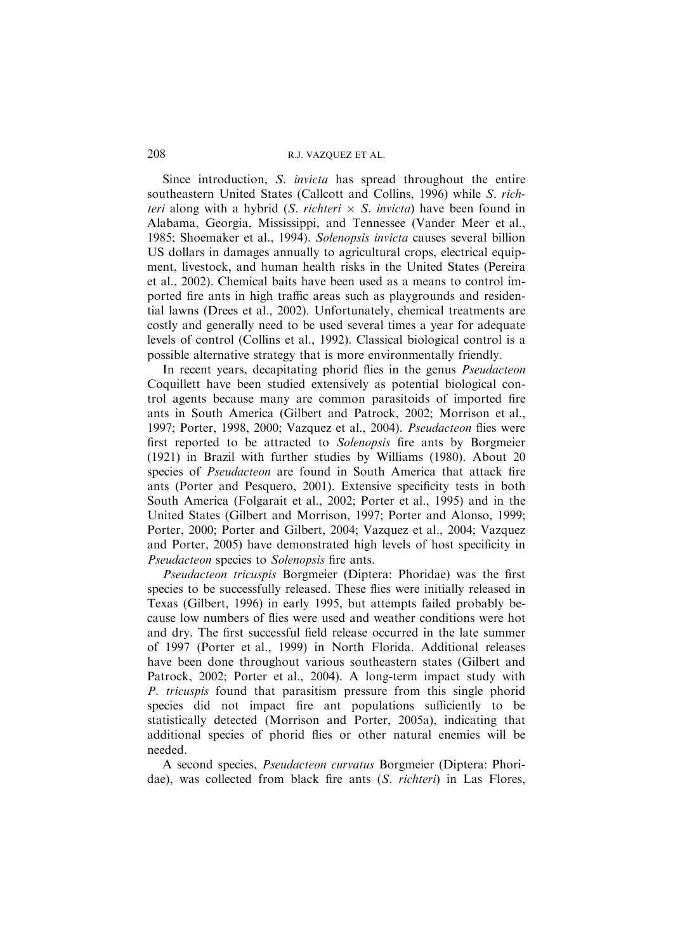## 208 R.J. VAZQUEZ ET AL.

Since introduction, S. invicta has spread throughout the entire southeastern United States (Callcott and Collins, 1996) while S. richteri along with a hybrid (S. richteri  $\times$  S. invicta) have been found in Alabama, Georgia, Mississippi, and Tennessee (Vander Meer et al., 1985; Shoemaker et al., 1994). Solenopsis invicta causes several billion US dollars in damages annually to agricultural crops, electrical equipment, livestock, and human health risks in the United States (Pereira et al., 2002). Chemical baits have been used as a means to control imported fire ants in high traffic areas such as playgrounds and residential lawns (Drees et al., 2002). Unfortunately, chemical treatments are costly and generally need to be used several times a year for adequate levels of control (Collins et al., 1992). Classical biological control is a possible alternative strategy that is more environmentally friendly.

In recent years, decapitating phorid flies in the genus Pseudacteon Coquillett have been studied extensively as potential biological control agents because many are common parasitoids of imported fire ants in South America (Gilbert and Patrock, 2002; Morrison et al., 1997; Porter, 1998, 2000; Vazquez et al., 2004). Pseudacteon flies were first reported to be attracted to Solenopsis fire ants by Borgmeier (1921) in Brazil with further studies by Williams (1980). About 20 species of *Pseudacteon* are found in South America that attack fire ants (Porter and Pesquero, 2001). Extensive specificity tests in both South America (Folgarait et al., 2002; Porter et al., 1995) and in the United States (Gilbert and Morrison, 1997; Porter and Alonso, 1999; Porter, 2000; Porter and Gilbert, 2004; Vazquez et al., 2004; Vazquez and Porter, 2005) have demonstrated high levels of host specificity in Pseudacteon species to Solenopsis fire ants.

Pseudacteon tricuspis Borgmeier (Diptera: Phoridae) was the first species to be successfully released. These flies were initially released in Texas (Gilbert, 1996) in early 1995, but attempts failed probably because low numbers of flies were used and weather conditions were hot and dry. The first successful field release occurred in the late summer of 1997 (Porter et al., 1999) in North Florida. Additional releases have been done throughout various southeastern states (Gilbert and Patrock, 2002; Porter et al., 2004). A long-term impact study with P. tricuspis found that parasitism pressure from this single phorid species did not impact fire ant populations sufficiently to be statistically detected (Morrison and Porter, 2005a), indicating that additional species of phorid flies or other natural enemies will be needed.

A second species, Pseudacteon curvatus Borgmeier (Diptera: Phoridae), was collected from black fire ants (S. richteri) in Las Flores,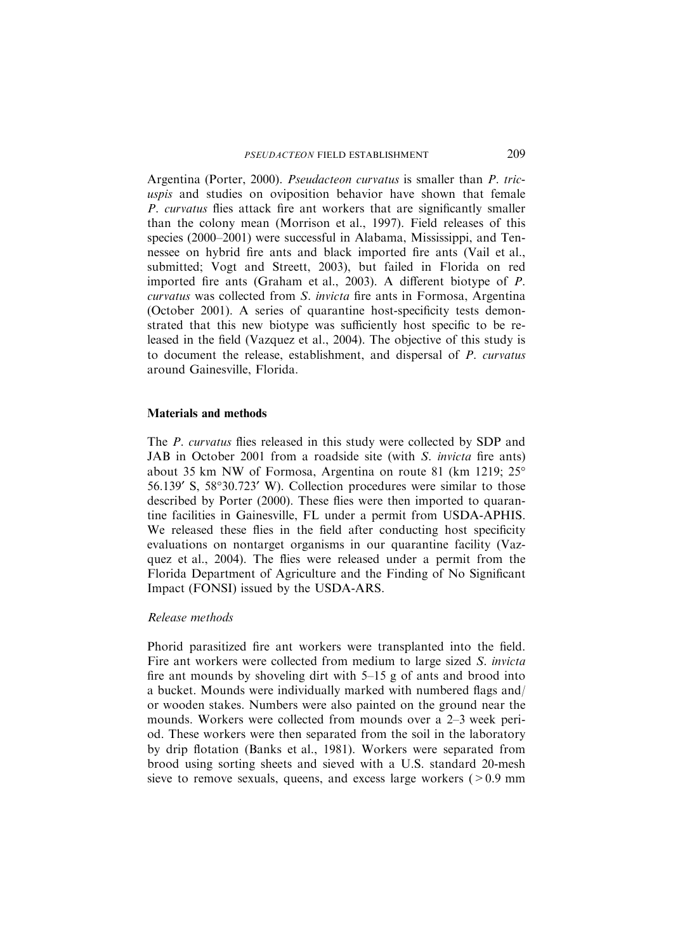Argentina (Porter, 2000). Pseudacteon curvatus is smaller than P. tricuspis and studies on oviposition behavior have shown that female P. curvatus flies attack fire ant workers that are significantly smaller than the colony mean (Morrison et al., 1997). Field releases of this species (2000–2001) were successful in Alabama, Mississippi, and Tennessee on hybrid fire ants and black imported fire ants (Vail et al., submitted; Vogt and Streett, 2003), but failed in Florida on red imported fire ants (Graham et al., 2003). A different biotype of P. curvatus was collected from S. invicta fire ants in Formosa, Argentina (October 2001). A series of quarantine host-specificity tests demonstrated that this new biotype was sufficiently host specific to be released in the field (Vazquez et al., 2004). The objective of this study is to document the release, establishment, and dispersal of P. curvatus around Gainesville, Florida.

## Materials and methods

The *P. curvatus* flies released in this study were collected by SDP and JAB in October 2001 from a roadside site (with S. invicta fire ants) about 35 km NW of Formosa, Argentina on route 81 (km 1219; 25- 56.139' S, 58°30.723' W). Collection procedures were similar to those described by Porter (2000). These flies were then imported to quarantine facilities in Gainesville, FL under a permit from USDA-APHIS. We released these flies in the field after conducting host specificity evaluations on nontarget organisms in our quarantine facility (Vazquez et al., 2004). The flies were released under a permit from the Florida Department of Agriculture and the Finding of No Significant Impact (FONSI) issued by the USDA-ARS.

## Release methods

Phorid parasitized fire ant workers were transplanted into the field. Fire ant workers were collected from medium to large sized S. invicta fire ant mounds by shoveling dirt with 5–15 g of ants and brood into a bucket. Mounds were individually marked with numbered flags and/ or wooden stakes. Numbers were also painted on the ground near the mounds. Workers were collected from mounds over a 2–3 week period. These workers were then separated from the soil in the laboratory by drip flotation (Banks et al., 1981). Workers were separated from brood using sorting sheets and sieved with a U.S. standard 20-mesh sieve to remove sexuals, queens, and excess large workers  $(>0.9 \text{ mm})$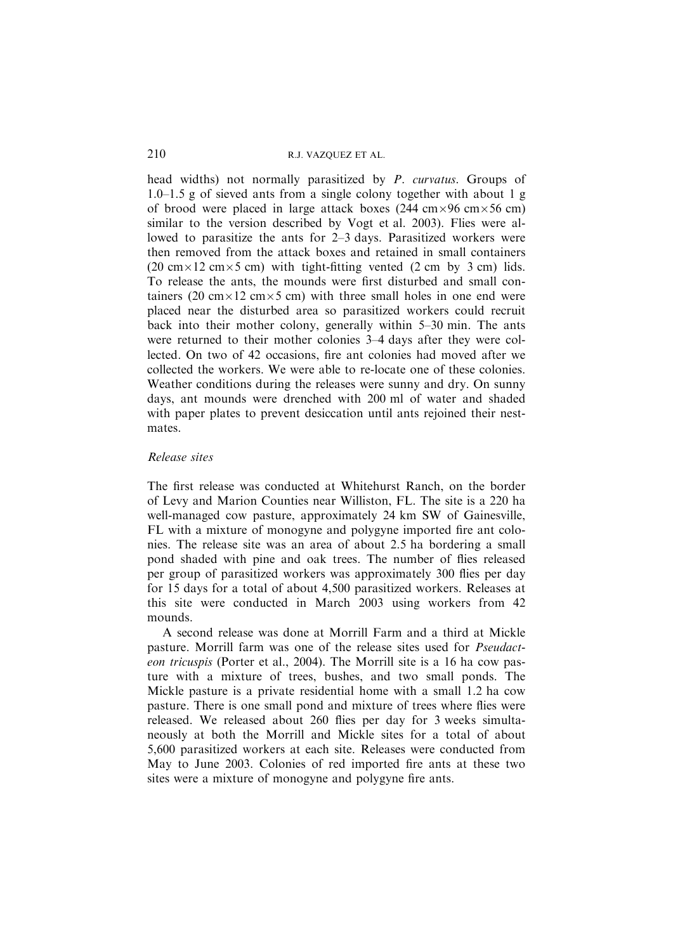## 210 R.J. VAZQUEZ ET AL.

head widths) not normally parasitized by P. curvatus. Groups of 1.0–1.5 g of sieved ants from a single colony together with about 1 g of brood were placed in large attack boxes (244 cm $\times$ 96 cm $\times$ 56 cm) similar to the version described by Vogt et al. 2003). Flies were allowed to parasitize the ants for 2–3 days. Parasitized workers were then removed from the attack boxes and retained in small containers (20 cm  $\times$  12 cm  $\times$  5 cm) with tight-fitting vented (2 cm by 3 cm) lids. To release the ants, the mounds were first disturbed and small containers (20 cm $\times$ 12 cm $\times$ 5 cm) with three small holes in one end were placed near the disturbed area so parasitized workers could recruit back into their mother colony, generally within 5–30 min. The ants were returned to their mother colonies 3–4 days after they were collected. On two of 42 occasions, fire ant colonies had moved after we collected the workers. We were able to re-locate one of these colonies. Weather conditions during the releases were sunny and dry. On sunny days, ant mounds were drenched with 200 ml of water and shaded with paper plates to prevent desiccation until ants rejoined their nestmates.

### Release sites

The first release was conducted at Whitehurst Ranch, on the border of Levy and Marion Counties near Williston, FL. The site is a 220 ha well-managed cow pasture, approximately 24 km SW of Gainesville, FL with a mixture of monogyne and polygyne imported fire ant colonies. The release site was an area of about 2.5 ha bordering a small pond shaded with pine and oak trees. The number of flies released per group of parasitized workers was approximately 300 flies per day for 15 days for a total of about 4,500 parasitized workers. Releases at this site were conducted in March 2003 using workers from 42 mounds.

A second release was done at Morrill Farm and a third at Mickle pasture. Morrill farm was one of the release sites used for Pseudacteon tricuspis (Porter et al., 2004). The Morrill site is a 16 ha cow pasture with a mixture of trees, bushes, and two small ponds. The Mickle pasture is a private residential home with a small 1.2 ha cow pasture. There is one small pond and mixture of trees where flies were released. We released about 260 flies per day for 3 weeks simultaneously at both the Morrill and Mickle sites for a total of about 5,600 parasitized workers at each site. Releases were conducted from May to June 2003. Colonies of red imported fire ants at these two sites were a mixture of monogyne and polygyne fire ants.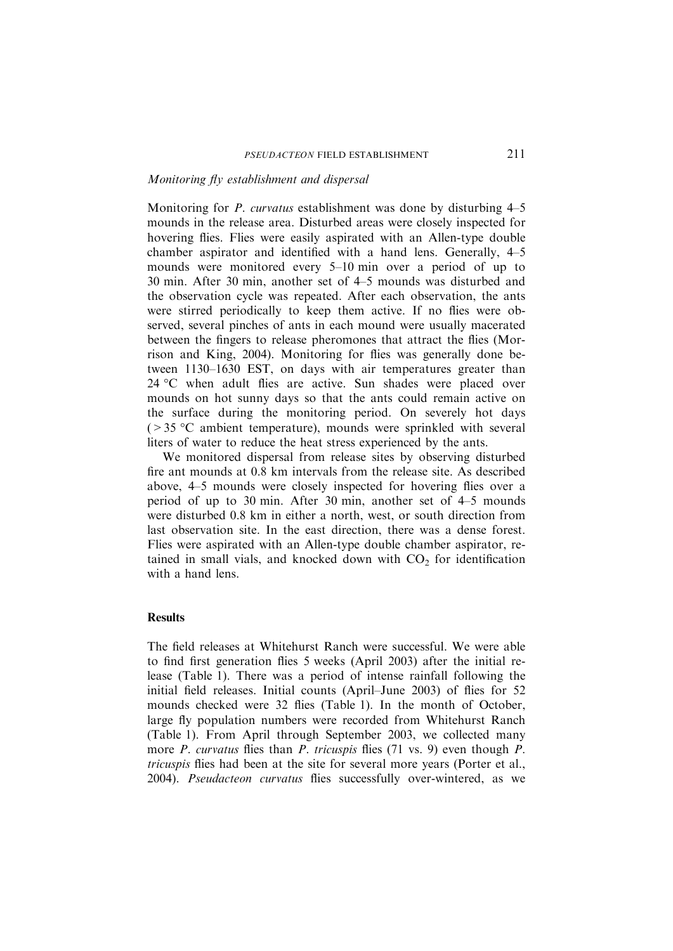#### Monitoring fly establishment and dispersal

Monitoring for P. curvatus establishment was done by disturbing 4–5 mounds in the release area. Disturbed areas were closely inspected for hovering flies. Flies were easily aspirated with an Allen-type double chamber aspirator and identified with a hand lens. Generally, 4–5 mounds were monitored every 5–10 min over a period of up to 30 min. After 30 min, another set of 4–5 mounds was disturbed and the observation cycle was repeated. After each observation, the ants were stirred periodically to keep them active. If no flies were observed, several pinches of ants in each mound were usually macerated between the fingers to release pheromones that attract the flies (Morrison and King, 2004). Monitoring for flies was generally done between 1130–1630 EST, on days with air temperatures greater than 24 °C when adult flies are active. Sun shades were placed over mounds on hot sunny days so that the ants could remain active on the surface during the monitoring period. On severely hot days  $($  > 35 °C ambient temperature), mounds were sprinkled with several liters of water to reduce the heat stress experienced by the ants.

We monitored dispersal from release sites by observing disturbed fire ant mounds at 0.8 km intervals from the release site. As described above, 4–5 mounds were closely inspected for hovering flies over a period of up to 30 min. After 30 min, another set of 4–5 mounds were disturbed 0.8 km in either a north, west, or south direction from last observation site. In the east direction, there was a dense forest. Flies were aspirated with an Allen-type double chamber aspirator, retained in small vials, and knocked down with  $CO<sub>2</sub>$  for identification with a hand lens.

#### **Results**

The field releases at Whitehurst Ranch were successful. We were able to find first generation flies 5 weeks (April 2003) after the initial release (Table 1). There was a period of intense rainfall following the initial field releases. Initial counts (April–June 2003) of flies for 52 mounds checked were 32 flies (Table 1). In the month of October, large fly population numbers were recorded from Whitehurst Ranch (Table 1). From April through September 2003, we collected many more *P. curvatus* flies than *P. tricuspis* flies (71 vs. 9) even though *P.* tricuspis flies had been at the site for several more years (Porter et al., 2004). Pseudacteon curvatus flies successfully over-wintered, as we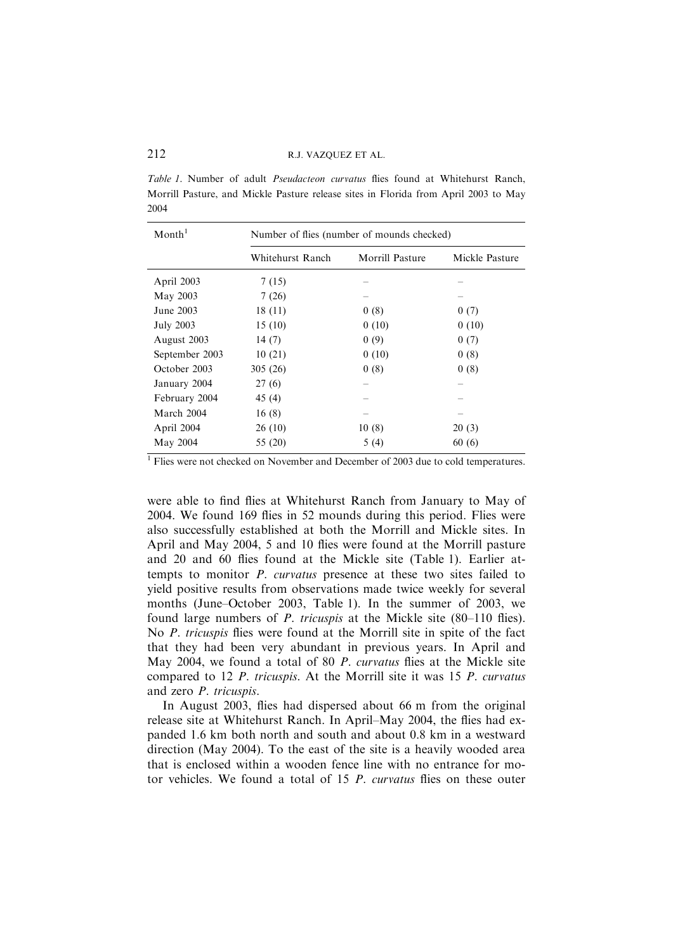#### 212 R.J. VAZQUEZ ET AL.

Table 1. Number of adult Pseudacteon curvatus flies found at Whitehurst Ranch, Morrill Pasture, and Mickle Pasture release sites in Florida from April 2003 to May 2004

| $M$ onth <sup>1</sup> | Number of flies (number of mounds checked) |                        |                |
|-----------------------|--------------------------------------------|------------------------|----------------|
|                       | Whitehurst Ranch                           | <b>Morrill Pasture</b> | Mickle Pasture |
| April 2003            | 7(15)                                      |                        |                |
| May 2003              | 7(26)                                      |                        |                |
| June 2003             | 18(11)                                     | 0(8)                   | 0(7)           |
| <b>July 2003</b>      | 15(10)                                     | 0(10)                  | 0(10)          |
| August 2003           | 14(7)                                      | 0(9)                   | 0(7)           |
| September 2003        | 10(21)                                     | 0(10)                  | 0(8)           |
| October 2003          | 305(26)                                    | 0(8)                   | 0(8)           |
| January 2004          | 27(6)                                      |                        |                |
| February 2004         | 45 (4)                                     |                        |                |
| March 2004            | 16(8)                                      |                        |                |
| April 2004            | 26(10)                                     | 10(8)                  | 20(3)          |
| May 2004              | 55 (20)                                    | 5(4)                   | 60(6)          |

<sup>1</sup> Flies were not checked on November and December of 2003 due to cold temperatures.

were able to find flies at Whitehurst Ranch from January to May of 2004. We found 169 flies in 52 mounds during this period. Flies were also successfully established at both the Morrill and Mickle sites. In April and May 2004, 5 and 10 flies were found at the Morrill pasture and 20 and 60 flies found at the Mickle site (Table 1). Earlier attempts to monitor P. curvatus presence at these two sites failed to yield positive results from observations made twice weekly for several months (June–October 2003, Table 1). In the summer of 2003, we found large numbers of P. tricuspis at the Mickle site (80–110 flies). No P. tricuspis flies were found at the Morrill site in spite of the fact that they had been very abundant in previous years. In April and May 2004, we found a total of 80 P. curvatus flies at the Mickle site compared to 12 P. tricuspis. At the Morrill site it was 15 P. curvatus and zero P. tricuspis.

In August 2003, flies had dispersed about 66 m from the original release site at Whitehurst Ranch. In April–May 2004, the flies had expanded 1.6 km both north and south and about 0.8 km in a westward direction (May 2004). To the east of the site is a heavily wooded area that is enclosed within a wooden fence line with no entrance for motor vehicles. We found a total of 15 P. curvatus flies on these outer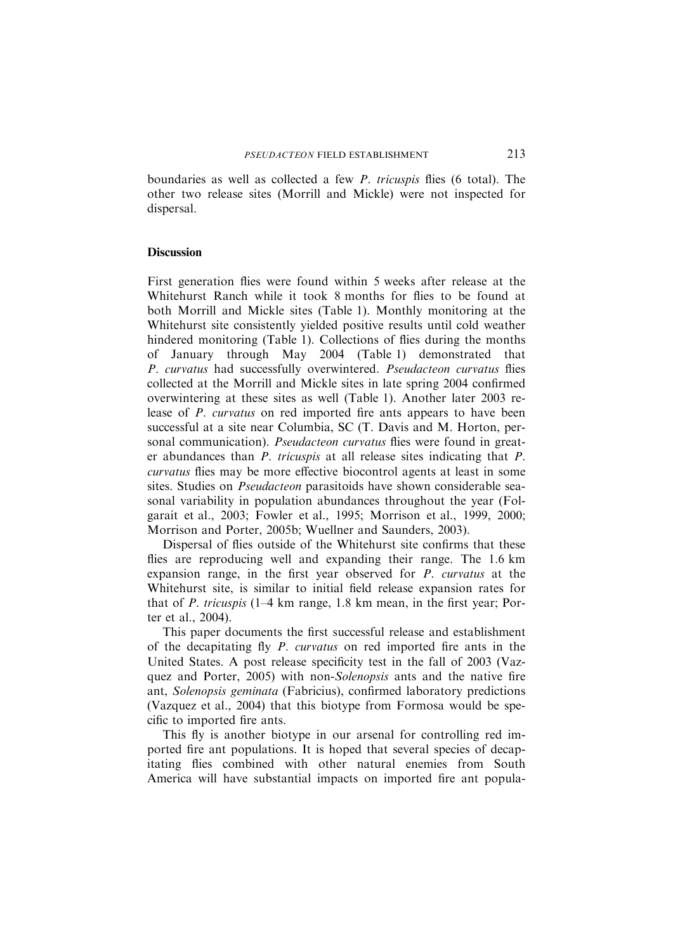boundaries as well as collected a few P. tricuspis flies (6 total). The other two release sites (Morrill and Mickle) were not inspected for dispersal.

#### **Discussion**

First generation flies were found within 5 weeks after release at the Whitehurst Ranch while it took 8 months for flies to be found at both Morrill and Mickle sites (Table 1). Monthly monitoring at the Whitehurst site consistently yielded positive results until cold weather hindered monitoring (Table 1). Collections of flies during the months of January through May 2004 (Table 1) demonstrated that P. curvatus had successfully overwintered. Pseudacteon curvatus flies collected at the Morrill and Mickle sites in late spring 2004 confirmed overwintering at these sites as well (Table 1). Another later 2003 release of P. curvatus on red imported fire ants appears to have been successful at a site near Columbia, SC (T. Davis and M. Horton, personal communication). *Pseudacteon curvatus* flies were found in greater abundances than P. tricuspis at all release sites indicating that P. curvatus flies may be more effective biocontrol agents at least in some sites. Studies on Pseudacteon parasitoids have shown considerable seasonal variability in population abundances throughout the year (Folgarait et al., 2003; Fowler et al., 1995; Morrison et al., 1999, 2000; Morrison and Porter, 2005b; Wuellner and Saunders, 2003).

Dispersal of flies outside of the Whitehurst site confirms that these flies are reproducing well and expanding their range. The 1.6 km expansion range, in the first year observed for P. curvatus at the Whitehurst site, is similar to initial field release expansion rates for that of  $P$ . tricuspis (1–4 km range, 1.8 km mean, in the first year; Porter et al., 2004).

This paper documents the first successful release and establishment of the decapitating fly P. curvatus on red imported fire ants in the United States. A post release specificity test in the fall of 2003 (Vazquez and Porter, 2005) with non-Solenopsis ants and the native fire ant, Solenopsis geminata (Fabricius), confirmed laboratory predictions (Vazquez et al., 2004) that this biotype from Formosa would be specific to imported fire ants.

This fly is another biotype in our arsenal for controlling red imported fire ant populations. It is hoped that several species of decapitating flies combined with other natural enemies from South America will have substantial impacts on imported fire ant popula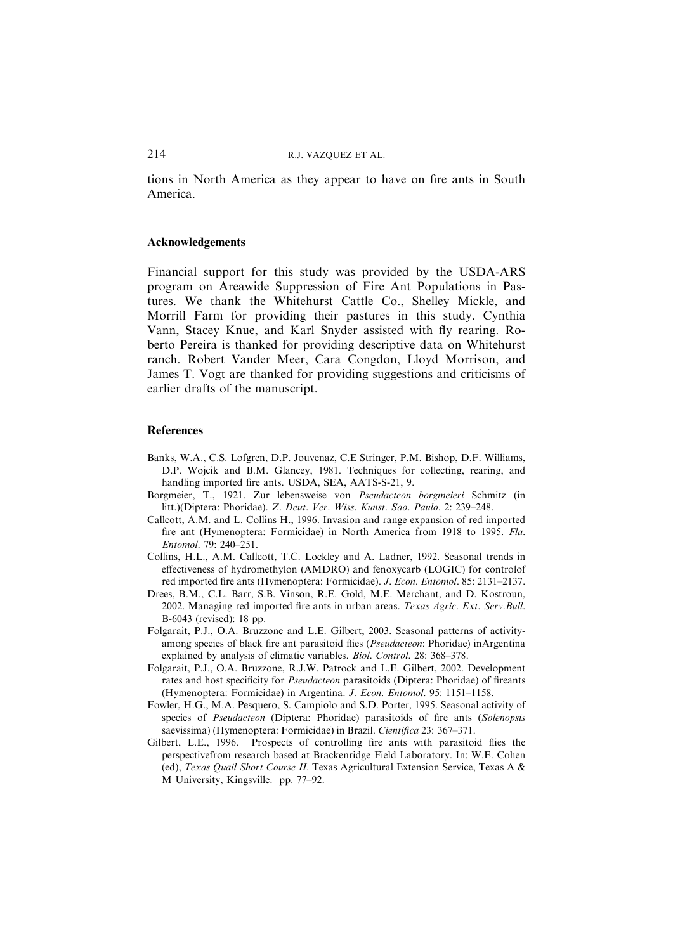tions in North America as they appear to have on fire ants in South America.

#### Acknowledgements

Financial support for this study was provided by the USDA-ARS program on Areawide Suppression of Fire Ant Populations in Pastures. We thank the Whitehurst Cattle Co., Shelley Mickle, and Morrill Farm for providing their pastures in this study. Cynthia Vann, Stacey Knue, and Karl Snyder assisted with fly rearing. Roberto Pereira is thanked for providing descriptive data on Whitehurst ranch. Robert Vander Meer, Cara Congdon, Lloyd Morrison, and James T. Vogt are thanked for providing suggestions and criticisms of earlier drafts of the manuscript.

#### **References**

- Banks, W.A., C.S. Lofgren, D.P. Jouvenaz, C.E Stringer, P.M. Bishop, D.F. Williams, D.P. Wojcik and B.M. Glancey, 1981. Techniques for collecting, rearing, and handling imported fire ants. USDA, SEA, AATS-S-21, 9.
- Borgmeier, T., 1921. Zur lebensweise von Pseudacteon borgmeieri Schmitz (in litt.)(Diptera: Phoridae). Z. Deut. Ver. Wiss. Kunst. Sao. Paulo. 2: 239–248.
- Callcott, A.M. and L. Collins H., 1996. Invasion and range expansion of red imported fire ant (Hymenoptera: Formicidae) in North America from 1918 to 1995. Fla. Entomol. 79: 240–251.
- Collins, H.L., A.M. Callcott, T.C. Lockley and A. Ladner, 1992. Seasonal trends in effectiveness of hydromethylon (AMDRO) and fenoxycarb (LOGIC) for controlof red imported fire ants (Hymenoptera: Formicidae). J. Econ. Entomol. 85: 2131–2137.
- Drees, B.M., C.L. Barr, S.B. Vinson, R.E. Gold, M.E. Merchant, and D. Kostroun, 2002. Managing red imported fire ants in urban areas. Texas Agric. Ext. Serv.Bull. B-6043 (revised): 18 pp.
- Folgarait, P.J., O.A. Bruzzone and L.E. Gilbert, 2003. Seasonal patterns of activityamong species of black fire ant parasitoid flies (Pseudacteon: Phoridae) inArgentina explained by analysis of climatic variables. Biol. Control. 28: 368–378.
- Folgarait, P.J., O.A. Bruzzone, R.J.W. Patrock and L.E. Gilbert, 2002. Development rates and host specificity for Pseudacteon parasitoids (Diptera: Phoridae) of fireants (Hymenoptera: Formicidae) in Argentina. J. Econ. Entomol. 95: 1151–1158.
- Fowler, H.G., M.A. Pesquero, S. Campiolo and S.D. Porter, 1995. Seasonal activity of species of Pseudacteon (Diptera: Phoridae) parasitoids of fire ants (Solenopsis saevissima) (Hymenoptera: Formicidae) in Brazil. Cientifica 23: 367–371.
- Gilbert, L.E., 1996. Prospects of controlling fire ants with parasitoid flies the perspectivefrom research based at Brackenridge Field Laboratory. In: W.E. Cohen (ed), Texas Quail Short Course II. Texas Agricultural Extension Service, Texas A & M University, Kingsville. pp. 77–92.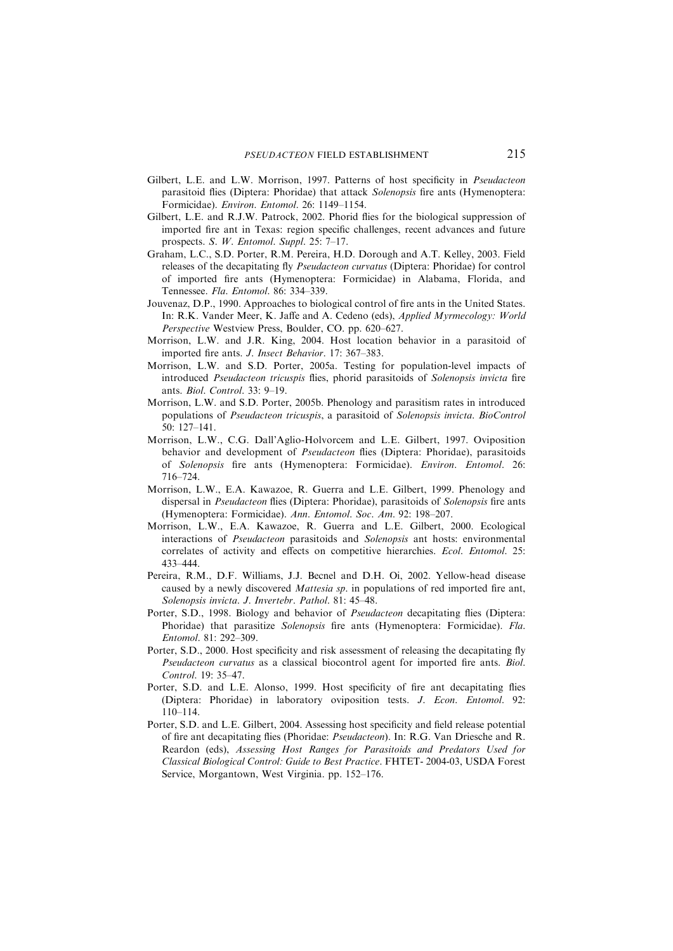- Gilbert, L.E. and L.W. Morrison, 1997. Patterns of host specificity in Pseudacteon parasitoid flies (Diptera: Phoridae) that attack Solenopsis fire ants (Hymenoptera: Formicidae). Environ. Entomol. 26: 1149–1154.
- Gilbert, L.E. and R.J.W. Patrock, 2002. Phorid flies for the biological suppression of imported fire ant in Texas: region specific challenges, recent advances and future prospects. S. W. Entomol. Suppl. 25: 7–17.
- Graham, L.C., S.D. Porter, R.M. Pereira, H.D. Dorough and A.T. Kelley, 2003. Field releases of the decapitating fly Pseudacteon curvatus (Diptera: Phoridae) for control of imported fire ants (Hymenoptera: Formicidae) in Alabama, Florida, and Tennessee. Fla. Entomol. 86: 334–339.
- Jouvenaz, D.P., 1990. Approaches to biological control of fire ants in the United States. In: R.K. Vander Meer, K. Jaffe and A. Cedeno (eds), Applied Myrmecology: World Perspective Westview Press, Boulder, CO. pp. 620–627.
- Morrison, L.W. and J.R. King, 2004. Host location behavior in a parasitoid of imported fire ants. J. Insect Behavior. 17: 367–383.
- Morrison, L.W. and S.D. Porter, 2005a. Testing for population-level impacts of introduced Pseudacteon tricuspis flies, phorid parasitoids of Solenopsis invicta fire ants. Biol. Control. 33: 9–19.
- Morrison, L.W. and S.D. Porter, 2005b. Phenology and parasitism rates in introduced populations of Pseudacteon tricuspis, a parasitoid of Solenopsis invicta. BioControl 50: 127–141.
- Morrison, L.W., C.G. Dall'Aglio-Holvorcem and L.E. Gilbert, 1997. Oviposition behavior and development of Pseudacteon flies (Diptera: Phoridae), parasitoids of Solenopsis fire ants (Hymenoptera: Formicidae). Environ. Entomol. 26: 716–724.
- Morrison, L.W., E.A. Kawazoe, R. Guerra and L.E. Gilbert, 1999. Phenology and dispersal in Pseudacteon flies (Diptera: Phoridae), parasitoids of Solenopsis fire ants (Hymenoptera: Formicidae). Ann. Entomol. Soc. Am. 92: 198–207.
- Morrison, L.W., E.A. Kawazoe, R. Guerra and L.E. Gilbert, 2000. Ecological interactions of Pseudacteon parasitoids and Solenopsis ant hosts: environmental correlates of activity and effects on competitive hierarchies. Ecol. Entomol. 25: 433–444.
- Pereira, R.M., D.F. Williams, J.J. Becnel and D.H. Oi, 2002. Yellow-head disease caused by a newly discovered Mattesia sp. in populations of red imported fire ant, Solenopsis invicta. J. Invertebr. Pathol. 81: 45–48.
- Porter, S.D., 1998. Biology and behavior of Pseudacteon decapitating flies (Diptera: Phoridae) that parasitize Solenopsis fire ants (Hymenoptera: Formicidae). Fla. Entomol. 81: 292–309.
- Porter, S.D., 2000. Host specificity and risk assessment of releasing the decapitating fly Pseudacteon curvatus as a classical biocontrol agent for imported fire ants. Biol. Control. 19: 35–47.
- Porter, S.D. and L.E. Alonso, 1999. Host specificity of fire ant decapitating flies (Diptera: Phoridae) in laboratory oviposition tests. J. Econ. Entomol. 92: 110–114.
- Porter, S.D. and L.E. Gilbert, 2004. Assessing host specificity and field release potential of fire ant decapitating flies (Phoridae: Pseudacteon). In: R.G. Van Driesche and R. Reardon (eds), Assessing Host Ranges for Parasitoids and Predators Used for Classical Biological Control: Guide to Best Practice. FHTET- 2004-03, USDA Forest Service, Morgantown, West Virginia. pp. 152–176.